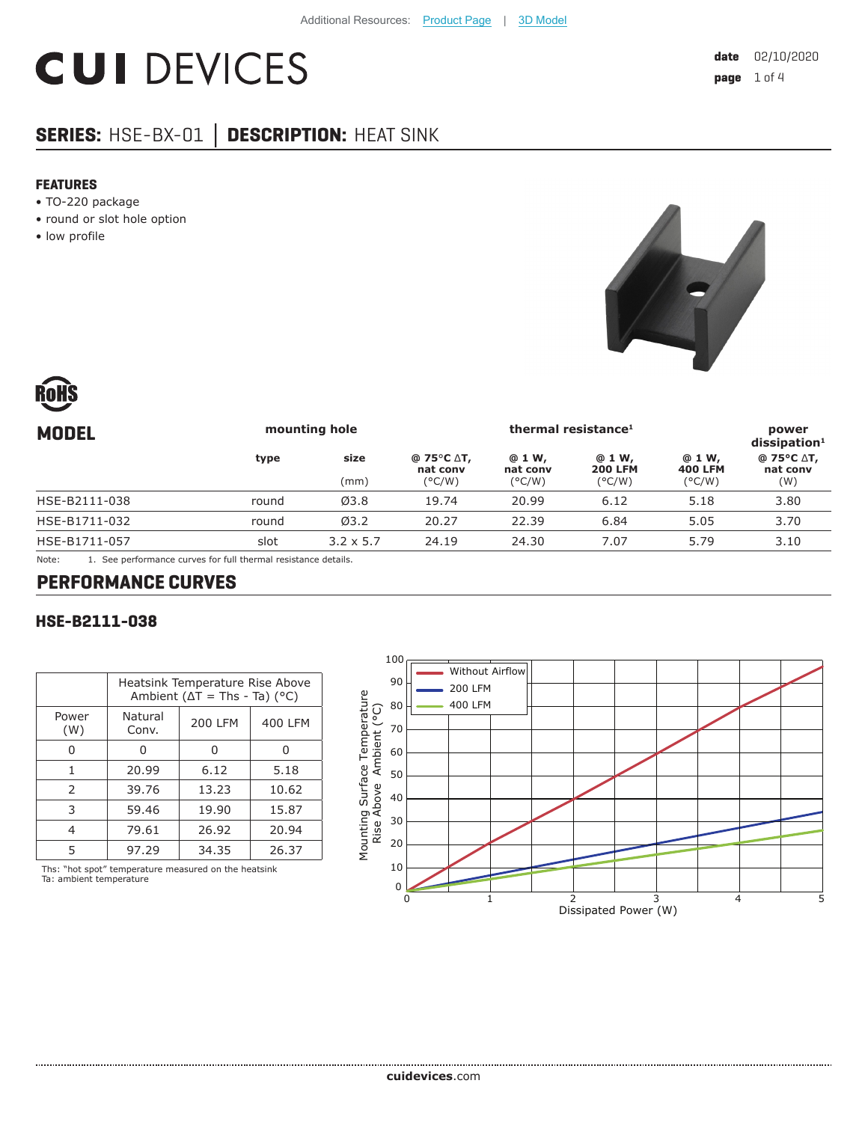# **CUI DEVICES**

# **SERIES:** HSE-BX-01 **│ DESCRIPTION:** HEAT SINK

#### **FEATURES**

- TO-220 package
- round or slot hole option
- low profile





| <b>MODEL</b>  | mounting hole |                  | thermal resistance <sup>1</sup>                  |                                       |                                             | power<br>dissigmoid <sup>1</sup>            |                               |
|---------------|---------------|------------------|--------------------------------------------------|---------------------------------------|---------------------------------------------|---------------------------------------------|-------------------------------|
|               | type          | size<br>(mm)     | $@75°C \Delta T,$<br>nat conv<br>$(^{\circ}C/W)$ | @ 1 W,<br>nat conv<br>$(^{\circ}C/W)$ | @ 1 W,<br><b>200 LFM</b><br>$(^{\circ}C/W)$ | @ 1 W,<br><b>400 LFM</b><br>$(^{\circ}C/W)$ | @ 75°C ∆T,<br>nat conv<br>(W) |
| HSE-B2111-038 | round         | Ø3.8             | 19.74                                            | 20.99                                 | 6.12                                        | 5.18                                        | 3.80                          |
| HSE-B1711-032 | round         | Ø3.2             | 20.27                                            | 22.39                                 | 6.84                                        | 5.05                                        | 3.70                          |
| HSE-B1711-057 | slot          | $3.2 \times 5.7$ | 24.19                                            | 24.30                                 | 7.07                                        | 5.79                                        | 3.10                          |
|               |               | .                |                                                  |                                       |                                             |                                             |                               |

Note: 1. See performance curves for full thermal resistance details.

#### **PERFORMANCE CURVES**

#### **HSE-B2111-038**

|               | Heatsink Temperature Rise Above<br>Ambient ( $\Delta T$ = Ths - Ta) (°C) |                |         |  |
|---------------|--------------------------------------------------------------------------|----------------|---------|--|
| Power<br>(W)  | Natural<br>Conv.                                                         | <b>200 LFM</b> | 400 LFM |  |
|               |                                                                          |                |         |  |
| 1             | 20.99                                                                    | 6.12           | 5.18    |  |
| $\mathcal{P}$ | 39.76                                                                    | 13.23          | 10.62   |  |
| 3             | 59.46                                                                    | 19.90          | 15.87   |  |
| 4             | 79.61                                                                    | 26.92          | 20.94   |  |
| 5             | 97.29                                                                    | 34.35          | 26.37   |  |

Ths: "hot spot" temperature measured on the heatsink Ta: ambient temperature

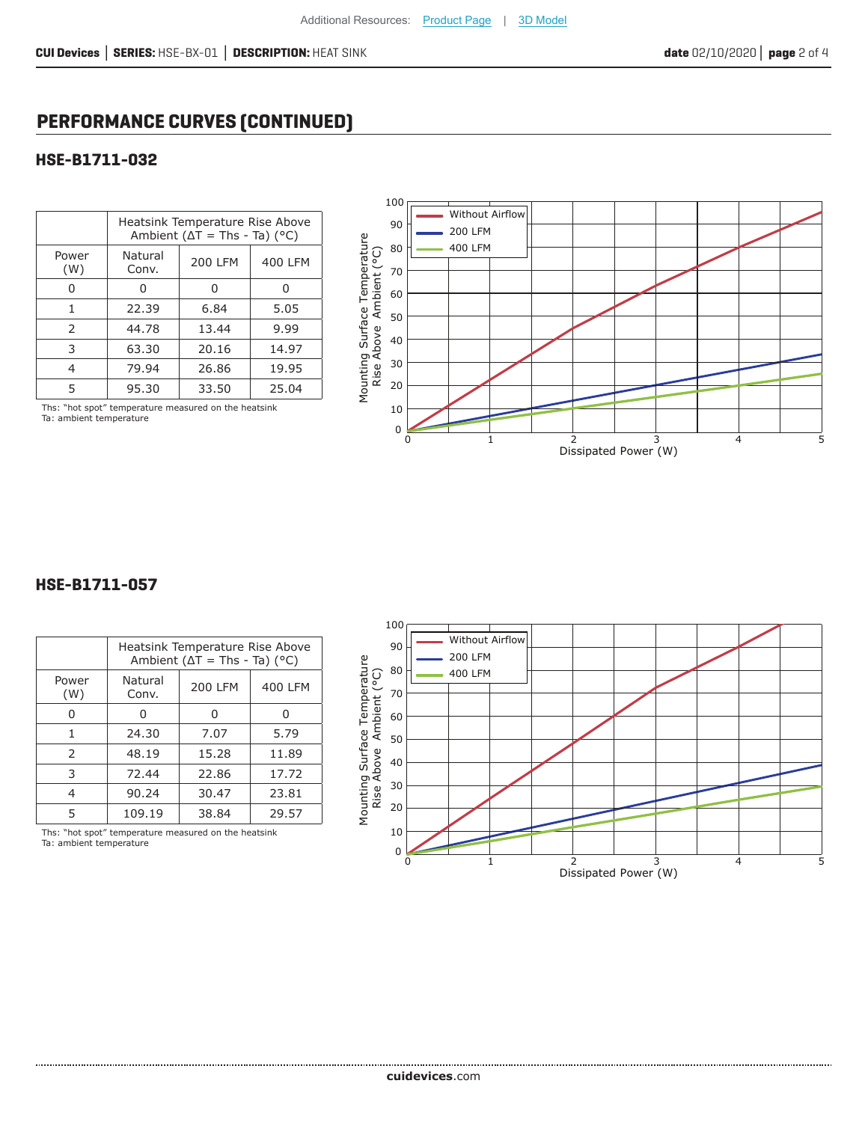## **PERFORMANCE CURVES (CONTINUED)**

#### **HSE-B1711-032**

|               | Heatsink Temperature Rise Above<br>Ambient ( $\Delta T$ = Ths - Ta) ( $^{\circ}$ C) |         |         |  |
|---------------|-------------------------------------------------------------------------------------|---------|---------|--|
| Power<br>(W)  | Natural<br>Conv.                                                                    | 200 LFM | 400 LFM |  |
| n             | O                                                                                   | U       |         |  |
| 1             | 22.39                                                                               | 6.84    | 5.05    |  |
| $\mathcal{P}$ | 44.78                                                                               | 13.44   | 9.99    |  |
| 3             | 63.30                                                                               | 20.16   | 14.97   |  |
| 4             | 79.94                                                                               | 26.86   | 19.95   |  |
| 5             | 95.30                                                                               | 33.50   | 25.04   |  |



#### Ths: "hot spot" temperature measured on the heatsink Ta: ambient temperature

#### **HSE-B1711-057**

|               | Heatsink Temperature Rise Above<br>Ambient ( $\Delta T$ = Ths - Ta) (°C) |         |         |  |
|---------------|--------------------------------------------------------------------------|---------|---------|--|
| Power<br>(W)  | Natural<br>Conv.                                                         | 200 LFM | 400 LFM |  |
|               | 0                                                                        | 0       |         |  |
| 1             | 24.30                                                                    | 7.07    | 5.79    |  |
| $\mathcal{P}$ | 48.19                                                                    | 15.28   | 11.89   |  |
| 3             | 72.44                                                                    | 22.86   | 17.72   |  |
|               | 90.24                                                                    | 30.47   | 23.81   |  |
| 5             | 109.19                                                                   | 38.84   | 29.57   |  |

Ths: "hot spot" temperature measured on the heatsink Ta: ambient temperature

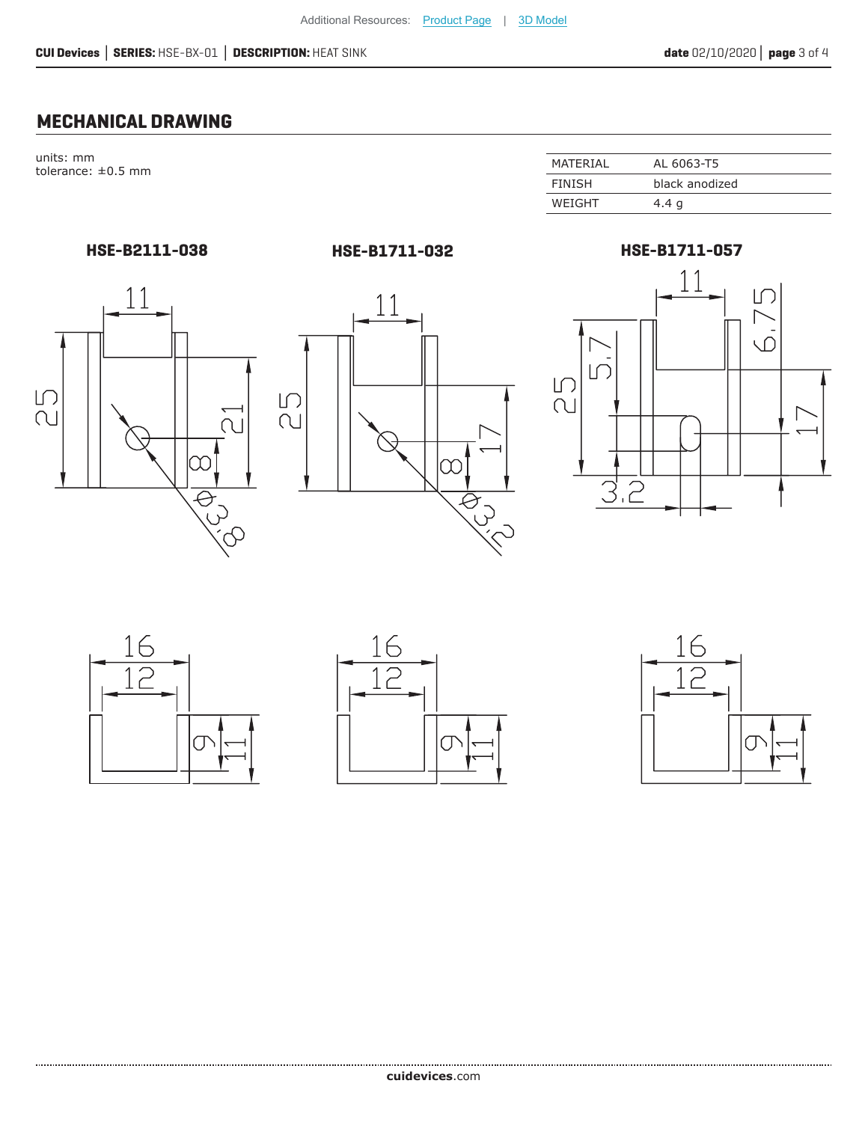### **MECHANICAL DRAWING**

units: mm  $t$ olerance:  $\pm 0.5$  mm

| MATFRIAI      | AL 6063-T5     |
|---------------|----------------|
| <b>FINISH</b> | black anodized |
| WEIGHT        | 4.4 g          |